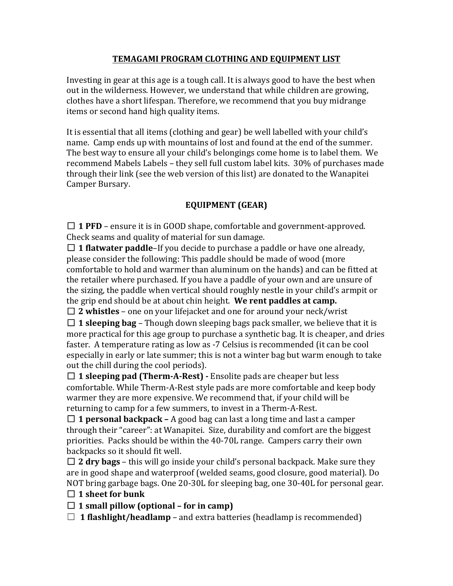## **TEMAGAMI PROGRAM CLOTHING AND EQUIPMENT LIST**

Investing in gear at this age is a tough call. It is always good to have the best when out in the wilderness. However, we understand that while children are growing, clothes have a short lifespan. Therefore, we recommend that you buy midrange items or second hand high quality items.

It is essential that all items (clothing and gear) be well labelled with your child's name. Camp ends up with mountains of lost and found at the end of the summer. The best way to ensure all your child's belongings come home is to label them. We recommend Mabels Labels – they sell full custom label kits. 30% of purchases made through their link (see the web version of this list) are donated to the Wanapitei Camper Bursary.

# **EQUIPMENT** (GEAR)

 $\Box$  **1 PFD** – ensure it is in GOOD shape, comfortable and government-approved. Check seams and quality of material for sun damage.

 $\Box$  **1 flatwater paddle**–If you decide to purchase a paddle or have one already, please consider the following: This paddle should be made of wood (more comfortable to hold and warmer than aluminum on the hands) and can be fitted at the retailer where purchased. If you have a paddle of your own and are unsure of the sizing, the paddle when vertical should roughly nestle in your child's armpit or the grip end should be at about chin height. We rent paddles at camp.

 $\Box$  **2** whistles – one on your lifejacket and one for around your neck/wrist

 $\Box$  **1 sleeping bag** – Though down sleeping bags pack smaller, we believe that it is more practical for this age group to purchase a synthetic bag. It is cheaper, and dries faster. A temperature rating as low as -7 Celsius is recommended (it can be cool especially in early or late summer; this is not a winter bag but warm enough to take out the chill during the cool periods).

 $\Box$  **1 sleeping pad (Therm-A-Rest)** - Ensolite pads are cheaper but less comfortable. While Therm-A-Rest style pads are more comfortable and keep body warmer they are more expensive. We recommend that, if your child will be returning to camp for a few summers, to invest in a Therm-A-Rest.

 $\Box$  **1 personal backpack** – A good bag can last a long time and last a camper through their "career": at Wanapitei. Size, durability and comfort are the biggest priorities. Packs should be within the 40-70L range. Campers carry their own backpacks so it should fit well.

 $\Box$  **2 dry bags** – this will go inside your child's personal backpack. Make sure they are in good shape and waterproof (welded seams, good closure, good material). Do NOT bring garbage bags. One 20-30L for sleeping bag, one 30-40L for personal gear.

### $\Box$  1 sheet for bunk

 $\Box$  **1** small pillow (optional – for in camp)

 $\Box$  **1 flashlight/headlamp** – and extra batteries (headlamp is recommended)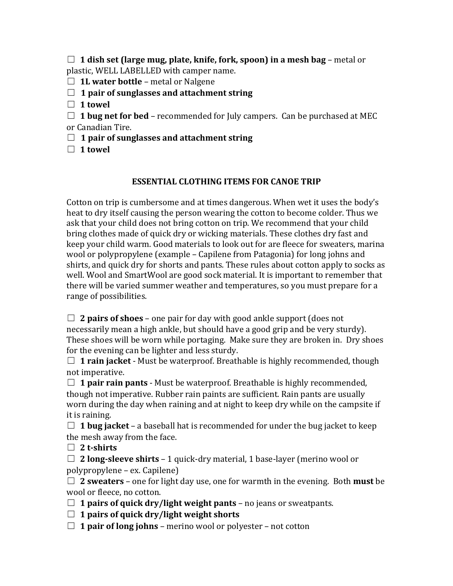$\Box$  **1** dish set (large mug, plate, knife, fork, spoon) in a mesh bag – metal or plastic, WELL LABELLED with camper name.

□ 1L water bottle – metal or Nalgene

## $\Box$  1 pair of sunglasses and attachment string

 $\Box$  1 towel

 $\Box$  **1 bug net for bed** – recommended for July campers. Can be purchased at MEC or Canadian Tire.

- □ 1 pair of sunglasses and attachment string
- $\Box$  1 towel

## **ESSENTIAL CLOTHING ITEMS FOR CANOE TRIP**

Cotton on trip is cumbersome and at times dangerous. When wet it uses the body's heat to dry itself causing the person wearing the cotton to become colder. Thus we ask that your child does not bring cotton on trip. We recommend that your child bring clothes made of quick dry or wicking materials. These clothes dry fast and keep your child warm. Good materials to look out for are fleece for sweaters, marina wool or polypropylene (example - Capilene from Patagonia) for long johns and shirts, and quick dry for shorts and pants. These rules about cotton apply to socks as well. Wool and SmartWool are good sock material. It is important to remember that there will be varied summer weather and temperatures, so you must prepare for a range of possibilities.

 $\Box$  **2 pairs of shoes** – one pair for day with good ankle support (does not necessarily mean a high ankle, but should have a good grip and be very sturdy). These shoes will be worn while portaging. Make sure they are broken in. Dry shoes for the evening can be lighter and less sturdy.

 $\Box$  **1 rain jacket** - Must be waterproof. Breathable is highly recommended, though not imperative.

 $\Box$  **1 pair rain pants** - Must be waterproof. Breathable is highly recommended, though not imperative. Rubber rain paints are sufficient. Rain pants are usually worn during the day when raining and at night to keep dry while on the campsite if it is raining.

 $\Box$  **1 bug jacket** – a baseball hat is recommended for under the bug jacket to keep the mesh away from the face.

□ 2 t-shirts

□ **2 long-sleeve shirts** – 1 quick-dry material, 1 base-layer (merino wool or polypropylene – ex. Capilene)

 $\Box$  **2** sweaters – one for light day use, one for warmth in the evening. Both **must** be wool or fleece, no cotton.

- $\Box$  **1 pairs of quick dry/light weight pants** no jeans or sweatpants.
- $\Box$  1 pairs of quick dry/light weight shorts
- $\Box$  **1 pair of long johns** merino wool or polyester not cotton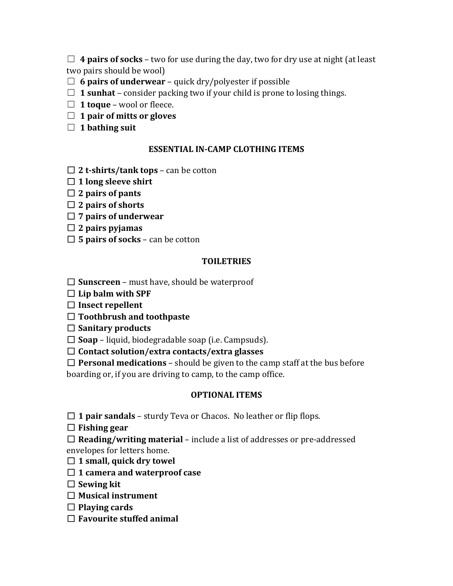$\Box$  **4 pairs of socks** – two for use during the day, two for dry use at night (at least two pairs should be wool)

- $\Box$  **6 pairs of underwear** quick dry/polyester if possible
- $\Box$  **1 sunhat** consider packing two if your child is prone to losing things.
- $\Box$  **1 toque** wool or fleece.
- □ 1 pair of mitts or gloves
- □ 1 bathing suit

#### **ESSENTIAL IN-CAMP CLOTHING ITEMS**

- $\Box$  **2 t-shirts/tank tops** can be cotton
- $\Box$  1 long sleeve shirt
- $\Box$  2 pairs of pants
- $\Box$  2 pairs of shorts
- □ 7 pairs of underwear
- ☐ **2 pairs pyjamas**
- $\Box$  **5 pairs of socks** can be cotton

#### **TOILETRIES**

- $\Box$  **Sunscreen** must have, should be waterproof
- $\Box$  Lip balm with SPF
- □ **Insect repellent**
- □ Toothbrush and toothpaste
- $\Box$  Sanitary products
- $\Box$  **Soap** liquid, biodegradable soap (i.e. Campsuds).
- ☐ **Contact solution/extra contacts/extra glasses**
- $\Box$  **Personal medications** should be given to the camp staff at the bus before boarding or, if you are driving to camp, to the camp office.

#### **OPTIONAL ITEMS**

- $\Box$  **1 pair sandals** sturdy Teva or Chacos. No leather or flip flops.
- ☐ **Fishing gear**
- $\Box$  **Reading/writing material** include a list of addresses or pre-addressed envelopes for letters home.
- $\Box$  1 small, quick dry towel
- □ 1 camera and waterproof case
- □ Sewing kit
- □ Musical instrument
- □ Playing cards
- $\Box$  **Favourite stuffed animal**